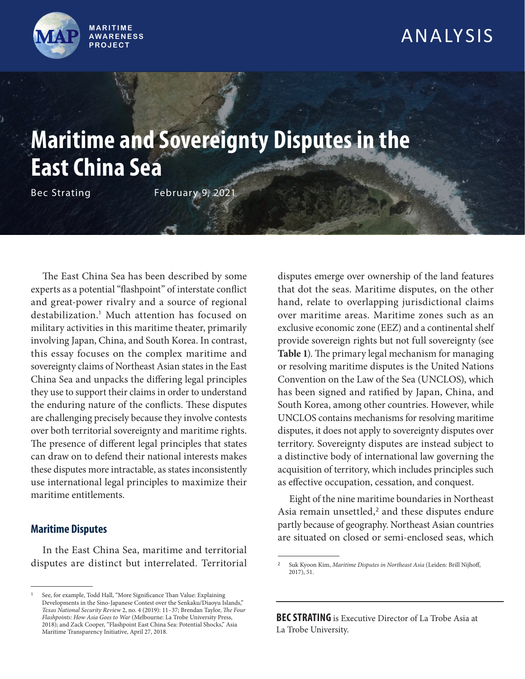

## ANALYSIS

# **Maritime and Sovereignty Disputes in the East China Sea**

Bec Strating February 9, 2021

The East China Sea has been described by some experts as a potential "flashpoint" of interstate conflict and great-power rivalry and a source of regional destabilization.<sup>1</sup> Much attention has focused on military activities in this maritime theater, primarily involving Japan, China, and South Korea. In contrast, this essay focuses on the complex maritime and sovereignty claims of Northeast Asian states in the East China Sea and unpacks the differing legal principles they use to support their claims in order to understand the enduring nature of the conflicts. These disputes are challenging precisely because they involve contests over both territorial sovereignty and maritime rights. The presence of different legal principles that states can draw on to defend their national interests makes these disputes more intractable, as states inconsistently use international legal principles to maximize their maritime entitlements.

### **Maritime Disputes**

In the East China Sea, maritime and territorial disputes are distinct but interrelated. Territorial disputes emerge over ownership of the land features that dot the seas. Maritime disputes, on the other hand, relate to overlapping jurisdictional claims over maritime areas. Maritime zones such as an exclusive economic zone (EEZ) and a continental shelf provide sovereign rights but not full sovereignty (see **Table 1**). The primary legal mechanism for managing or resolving maritime disputes is the United Nations Convention on the Law of the Sea (UNCLOS), which has been signed and ratified by Japan, China, and South Korea, among other countries. However, while UNCLOS contains mechanisms for resolving maritime disputes, it does not apply to sovereignty disputes over territory. Sovereignty disputes are instead subject to a distinctive body of international law governing the acquisition of territory, which includes principles such as effective occupation, cessation, and conquest.

Eight of the nine maritime boundaries in Northeast Asia remain unsettled, $2$  and these disputes endure partly because of geography. Northeast Asian countries are situated on closed or semi-enclosed seas, which

**BEC STRATING** is Executive Director of La Trobe Asia at La Trobe University.

<sup>1</sup>See, for example, Todd Hall, "More Significance Than Value: Explaining Developments in the Sino-Japanese Contest over the Senkaku/Diaoyu Islands," *Texas National Security Review* 2, no. 4 (2019): 11–37; Brendan Taylor, *The Four Flashpoints: How Asia Goes to War* (Melbourne: La Trobe University Press, 2018); and Zack Cooper, "Flashpoint East China Sea: Potential Shocks," Asia Maritime Transparency Initiative, April 27, 2018.

<sup>2</sup>Suk Kyoon Kim, *Maritime Disputes in Northeast Asia* (Leiden: Brill Nijhoff, 2017), 51.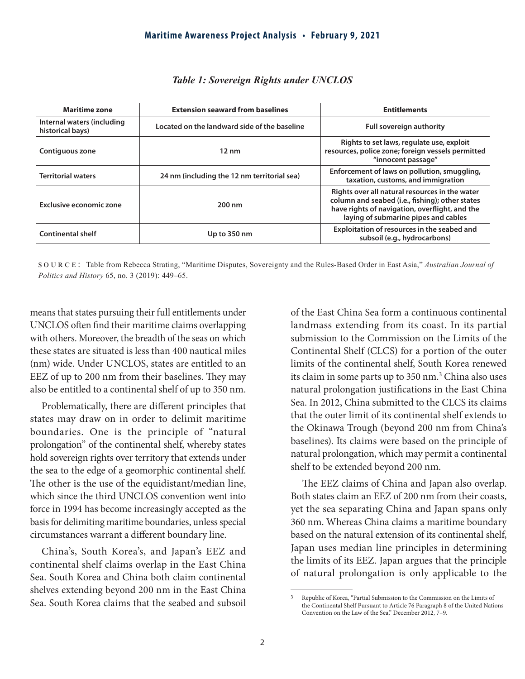| <b>Maritime zone</b>                           | <b>Extension seaward from baselines</b>      | <b>Entitlements</b>                                                                                                                                                                         |
|------------------------------------------------|----------------------------------------------|---------------------------------------------------------------------------------------------------------------------------------------------------------------------------------------------|
| Internal waters (including<br>historical bays) | Located on the landward side of the baseline | <b>Full sovereign authority</b>                                                                                                                                                             |
| Contiguous zone                                | $12 \text{ nm}$                              | Rights to set laws, regulate use, exploit<br>resources, police zone; foreign vessels permitted<br>"innocent passage"                                                                        |
| <b>Territorial waters</b>                      | 24 nm (including the 12 nm territorial sea)  | Enforcement of laws on pollution, smuggling,<br>taxation, customs, and immigration                                                                                                          |
| Exclusive economic zone                        | 200 nm                                       | Rights over all natural resources in the water<br>column and seabed (i.e., fishing); other states<br>have rights of navigation, overflight, and the<br>laying of submarine pipes and cables |
| <b>Continental shelf</b>                       | Up to 350 nm                                 | Exploitation of resources in the seabed and<br>subsoil (e.g., hydrocarbons)                                                                                                                 |

### *Table 1: Sovereign Rights under UNCLOS*

source: Table from Rebecca Strating, "Maritime Disputes, Sovereignty and the Rules-Based Order in East Asia," *Australian Journal of Politics and History* 65, no. 3 (2019): 449–65.

means that states pursuing their full entitlements under UNCLOS often find their maritime claims overlapping with others. Moreover, the breadth of the seas on which these states are situated is less than 400 nautical miles (nm) wide. Under UNCLOS, states are entitled to an EEZ of up to 200 nm from their baselines. They may also be entitled to a continental shelf of up to 350 nm.

Problematically, there are different principles that states may draw on in order to delimit maritime boundaries. One is the principle of "natural prolongation" of the continental shelf, whereby states hold sovereign rights over territory that extends under the sea to the edge of a geomorphic continental shelf. The other is the use of the equidistant/median line, which since the third UNCLOS convention went into force in 1994 has become increasingly accepted as the basis for delimiting maritime boundaries, unless special circumstances warrant a different boundary line.

China's, South Korea's, and Japan's EEZ and continental shelf claims overlap in the East China Sea. South Korea and China both claim continental shelves extending beyond 200 nm in the East China Sea. South Korea claims that the seabed and subsoil of the East China Sea form a continuous continental landmass extending from its coast. In its partial submission to the Commission on the Limits of the Continental Shelf (CLCS) for a portion of the outer limits of the continental shelf, South Korea renewed its claim in some parts up to 350 nm.<sup>3</sup> China also uses natural prolongation justifications in the East China Sea. In 2012, China submitted to the CLCS its claims that the outer limit of its continental shelf extends to the Okinawa Trough (beyond 200 nm from China's baselines). Its claims were based on the principle of natural prolongation, which may permit a continental shelf to be extended beyond 200 nm.

The EEZ claims of China and Japan also overlap. Both states claim an EEZ of 200 nm from their coasts, yet the sea separating China and Japan spans only 360 nm. Whereas China claims a maritime boundary based on the natural extension of its continental shelf, Japan uses median line principles in determining the limits of its EEZ. Japan argues that the principle of natural prolongation is only applicable to the

<sup>3</sup>Republic of Korea, "Partial Submission to the Commission on the Limits of the Continental Shelf Pursuant to Article 76 Paragraph 8 of the United Nations Convention on the Law of the Sea," December 2012, 7–9.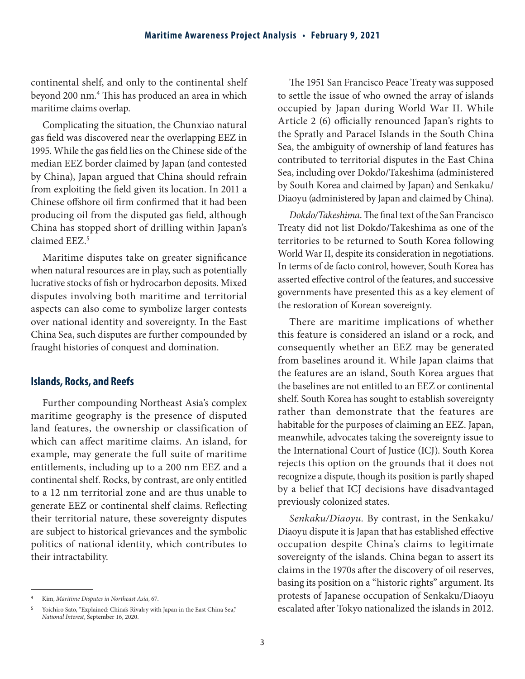continental shelf, and only to the continental shelf beyond 200 nm.<sup>4</sup> This has produced an area in which maritime claims overlap.

Complicating the situation, the Chunxiao natural gas field was discovered near the overlapping EEZ in 1995. While the gas field lies on the Chinese side of the median EEZ border claimed by Japan (and contested by China), Japan argued that China should refrain from exploiting the field given its location. In 2011 a Chinese offshore oil firm confirmed that it had been producing oil from the disputed gas field, although China has stopped short of drilling within Japan's claimed EEZ.<sup>5</sup>

Maritime disputes take on greater significance when natural resources are in play, such as potentially lucrative stocks of fish or hydrocarbon deposits. Mixed disputes involving both maritime and territorial aspects can also come to symbolize larger contests over national identity and sovereignty. In the East China Sea, such disputes are further compounded by fraught histories of conquest and domination.

### **Islands, Rocks, and Reefs**

Further compounding Northeast Asia's complex maritime geography is the presence of disputed land features, the ownership or classification of which can affect maritime claims. An island, for example, may generate the full suite of maritime entitlements, including up to a 200 nm EEZ and a continental shelf. Rocks, by contrast, are only entitled to a 12 nm territorial zone and are thus unable to generate EEZ or continental shelf claims. Reflecting their territorial nature, these sovereignty disputes are subject to historical grievances and the symbolic politics of national identity, which contributes to their intractability.

The 1951 San Francisco Peace Treaty was supposed to settle the issue of who owned the array of islands occupied by Japan during World War II. While Article 2 (6) officially renounced Japan's rights to the Spratly and Paracel Islands in the South China Sea, the ambiguity of ownership of land features has contributed to territorial disputes in the East China Sea, including over Dokdo/Takeshima (administered by South Korea and claimed by Japan) and Senkaku/ Diaoyu (administered by Japan and claimed by China).

*Dokdo/Takeshima*. The final text of the San Francisco Treaty did not list Dokdo/Takeshima as one of the territories to be returned to South Korea following World War II, despite its consideration in negotiations. In terms of de facto control, however, South Korea has asserted effective control of the features, and successive governments have presented this as a key element of the restoration of Korean sovereignty.

There are maritime implications of whether this feature is considered an island or a rock, and consequently whether an EEZ may be generated from baselines around it. While Japan claims that the features are an island, South Korea argues that the baselines are not entitled to an EEZ or continental shelf. South Korea has sought to establish sovereignty rather than demonstrate that the features are habitable for the purposes of claiming an EEZ. Japan, meanwhile, advocates taking the sovereignty issue to the International Court of Justice (ICJ). South Korea rejects this option on the grounds that it does not recognize a dispute, though its position is partly shaped by a belief that ICJ decisions have disadvantaged previously colonized states.

*Senkaku/Diaoyu.* By contrast, in the Senkaku/ Diaoyu dispute it is Japan that has established effective occupation despite China's claims to legitimate sovereignty of the islands. China began to assert its claims in the 1970s after the discovery of oil reserves, basing its position on a "historic rights" argument. Its protests of Japanese occupation of Senkaku/Diaoyu escalated after Tokyo nationalized the islands in 2012.

<sup>4</sup>Kim, *Maritime Disputes in Northeast Asia*, 67.

Yoichiro Sato, "Explained: China's Rivalry with Japan in the East China Sea," *National Interest*, September 16, 2020.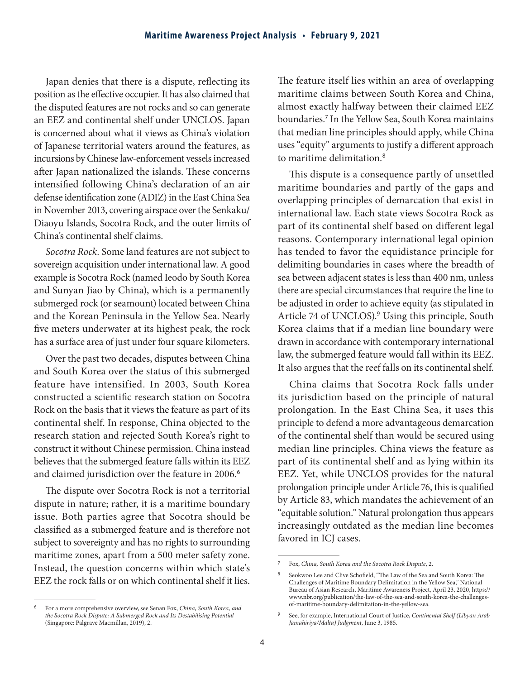Japan denies that there is a dispute, reflecting its position as the effective occupier. It has also claimed that the disputed features are not rocks and so can generate an EEZ and continental shelf under UNCLOS. Japan is concerned about what it views as China's violation of Japanese territorial waters around the features, as incursions by Chinese law-enforcement vessels increased after Japan nationalized the islands. These concerns intensified following China's declaration of an air defense identification zone (ADIZ) in the East China Sea in November 2013, covering airspace over the Senkaku/ Diaoyu Islands, Socotra Rock, and the outer limits of China's continental shelf claims.

*Socotra Rock.* Some land features are not subject to sovereign acquisition under international law. A good example is Socotra Rock (named Ieodo by South Korea and Sunyan Jiao by China), which is a permanently submerged rock (or seamount) located between China and the Korean Peninsula in the Yellow Sea. Nearly five meters underwater at its highest peak, the rock has a surface area of just under four square kilometers.

Over the past two decades, disputes between China and South Korea over the status of this submerged feature have intensified. In 2003, South Korea constructed a scientific research station on Socotra Rock on the basis that it views the feature as part of its continental shelf. In response, China objected to the research station and rejected South Korea's right to construct it without Chinese permission. China instead believes that the submerged feature falls within its EEZ and claimed jurisdiction over the feature in 2006.<sup>6</sup>

The dispute over Socotra Rock is not a territorial dispute in nature; rather, it is a maritime boundary issue. Both parties agree that Socotra should be classified as a submerged feature and is therefore not subject to sovereignty and has no rights to surrounding maritime zones, apart from a 500 meter safety zone. Instead, the question concerns within which state's EEZ the rock falls or on which continental shelf it lies.

<sup>6</sup>For a more comprehensive overview, see Senan Fox, *China, South Korea, and the Socotra Rock Dispute: A Submerged Rock and Its Destabilising Potential* (Singapore: Palgrave Macmillan, 2019), 2.

The feature itself lies within an area of overlapping maritime claims between South Korea and China, almost exactly halfway between their claimed EEZ boundaries.<sup>7</sup> In the Yellow Sea, South Korea maintains that median line principles should apply, while China uses "equity" arguments to justify a different approach to maritime delimitation.<sup>8</sup>

This dispute is a consequence partly of unsettled maritime boundaries and partly of the gaps and overlapping principles of demarcation that exist in international law. Each state views Socotra Rock as part of its continental shelf based on different legal reasons. Contemporary international legal opinion has tended to favor the equidistance principle for delimiting boundaries in cases where the breadth of sea between adjacent states is less than 400 nm, unless there are special circumstances that require the line to be adjusted in order to achieve equity (as stipulated in Article 74 of UNCLOS).<sup>9</sup> Using this principle, South Korea claims that if a median line boundary were drawn in accordance with contemporary international law, the submerged feature would fall within its EEZ. It also argues that the reef falls on its continental shelf.

China claims that Socotra Rock falls under its jurisdiction based on the principle of natural prolongation. In the East China Sea, it uses this principle to defend a more advantageous demarcation of the continental shelf than would be secured using median line principles. China views the feature as part of its continental shelf and as lying within its EEZ. Yet, while UNCLOS provides for the natural prolongation principle under Article 76, this is qualified by Article 83, which mandates the achievement of an "equitable solution." Natural prolongation thus appears increasingly outdated as the median line becomes favored in ICJ cases.

<sup>7</sup>Fox, *China, South Korea and the Socotra Rock Dispute*, 2.

<sup>8</sup> Seokwoo Lee and Clive Schofield, "The Law of the Sea and South Korea: The Challenges of Maritime Boundary Delimitation in the Yellow Sea," National Bureau of Asian Research, Maritime Awareness Project, April 23, 2020, https:// www.nbr.org/publication/the-law-of-the-sea-and-south-korea-the-challengesof-maritime-boundary-delimitation-in-the-yellow-sea.

<sup>9</sup>See, for example, International Court of Justice, *Continental Shelf (Libyan Arab Jamahiriya/Malta) Judgment*, June 3, 1985.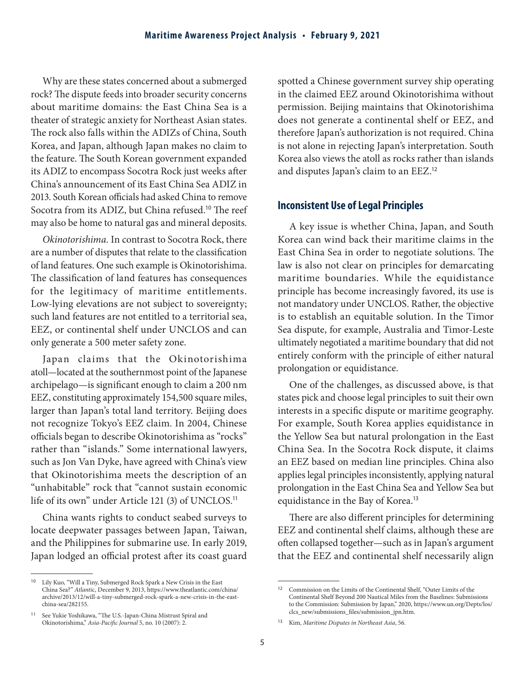Why are these states concerned about a submerged rock? The dispute feeds into broader security concerns about maritime domains: the East China Sea is a theater of strategic anxiety for Northeast Asian states. The rock also falls within the ADIZs of China, South Korea, and Japan, although Japan makes no claim to the feature. The South Korean government expanded its ADIZ to encompass Socotra Rock just weeks after China's announcement of its East China Sea ADIZ in 2013. South Korean officials had asked China to remove Socotra from its ADIZ, but China refused.<sup>10</sup> The reef may also be home to natural gas and mineral deposits.

*Okinotorishima.* In contrast to Socotra Rock, there are a number of disputes that relate to the classification of land features. One such example is Okinotorishima. The classification of land features has consequences for the legitimacy of maritime entitlements. Low-lying elevations are not subject to sovereignty; such land features are not entitled to a territorial sea, EEZ, or continental shelf under UNCLOS and can only generate a 500 meter safety zone.

Japan claims that the Okinotorishima atoll—located at the southernmost point of the Japanese archipelago—is significant enough to claim a 200 nm EEZ, constituting approximately 154,500 square miles, larger than Japan's total land territory. Beijing does not recognize Tokyo's EEZ claim. In 2004, Chinese officials began to describe Okinotorishima as "rocks" rather than "islands." Some international lawyers, such as Jon Van Dyke, have agreed with China's view that Okinotorishima meets the description of an "unhabitable" rock that "cannot sustain economic life of its own" under Article 121 (3) of UNCLOS.<sup>11</sup>

China wants rights to conduct seabed surveys to locate deepwater passages between Japan, Taiwan, and the Philippines for submarine use. In early 2019, Japan lodged an official protest after its coast guard spotted a Chinese government survey ship operating in the claimed EEZ around Okinotorishima without permission. Beijing maintains that Okinotorishima does not generate a continental shelf or EEZ, and therefore Japan's authorization is not required. China is not alone in rejecting Japan's interpretation. South Korea also views the atoll as rocks rather than islands and disputes Japan's claim to an EEZ.<sup>12</sup>

### **Inconsistent Use of Legal Principles**

A key issue is whether China, Japan, and South Korea can wind back their maritime claims in the East China Sea in order to negotiate solutions. The law is also not clear on principles for demarcating maritime boundaries. While the equidistance principle has become increasingly favored, its use is not mandatory under UNCLOS. Rather, the objective is to establish an equitable solution. In the Timor Sea dispute, for example, Australia and Timor-Leste ultimately negotiated a maritime boundary that did not entirely conform with the principle of either natural prolongation or equidistance.

One of the challenges, as discussed above, is that states pick and choose legal principles to suit their own interests in a specific dispute or maritime geography. For example, South Korea applies equidistance in the Yellow Sea but natural prolongation in the East China Sea. In the Socotra Rock dispute, it claims an EEZ based on median line principles. China also applies legal principles inconsistently, applying natural prolongation in the East China Sea and Yellow Sea but equidistance in the Bay of Korea.<sup>13</sup>

There are also different principles for determining EEZ and continental shelf claims, although these are often collapsed together—such as in Japan's argument that the EEZ and continental shelf necessarily align

<sup>&</sup>lt;sup>10</sup> Lily Kuo, "Will a Tiny, Submerged Rock Spark a New Crisis in the East China Sea?" *Atlanti*c, December 9, 2013, https://www.theatlantic.com/china/ archive/2013/12/will-a-tiny-submerged-rock-spark-a-new-crisis-in-the-eastchina-sea/282155.

<sup>11</sup> See Yukie Yoshikawa, "The U.S.-Japan-China Mistrust Spiral and Okinotorishima," *Asia-Pacific Journal* 5, no. 10 (2007): 2.

<sup>&</sup>lt;sup>12</sup> Commission on the Limits of the Continental Shelf, "Outer Limits of the Continental Shelf Beyond 200 Nautical Miles from the Baselines: Submissions to the Commission: Submission by Japan," 2020, https://www.un.org/Depts/los/ clcs\_new/submissions\_files/submission\_jpn.htm.

<sup>13</sup> Kim, *Maritime Disputes in Northeast Asia*, 56.